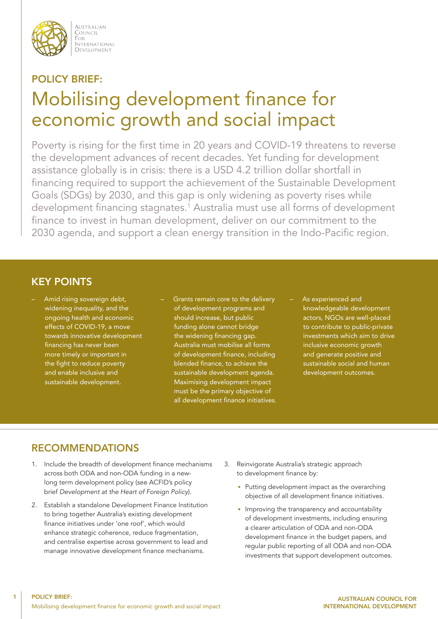

AUSTRALIAN COUNCIL FOR i ote<br>International DEVELOPMENT

# POLICY BRIEF: Mobilising development finance for economic growth and social impact

Poverty is rising for the first time in 20 years and COVID-19 threatens to reverse the development advances of recent decades. Yet funding for development assistance globally is in crisis: there is a USD 4.2 trillion dollar shortfall in financing required to support the achievement of the Sustainable Development Goals (SDGs) by 2030, and this gap is only widening as poverty rises while development financing stagnates.1 Australia must use all forms of development finance to invest in human development, deliver on our commitment to the 2030 agenda, and support a clean energy transition in the Indo-Pacific region.

## KEY POINTS

- Amid rising sovereign debt, widening inequality, and the ongoing health and economic effects of COVID-19, a move towards innovative development financing has never been more timely or important in the fight to reduce poverty and enable inclusive and sustainable development.
- Grants remain core to the delivery of development programs and should increase, but public funding alone cannot bridge the widening financing gap. Australia must mobilise all forms of development finance, including blended finance, to achieve the sustainable development agenda. Maximising development impact must be the primary objective of all development finance initiatives.
- As experienced and knowledgeable development actors, NGOs are well-placed to contribute to public-private investments which aim to drive inclusive economic growth and generate positive and sustainable social and human development outcomes.

#### RECOMMENDATIONS

- 1. Include the breadth of development finance mechanisms across both ODA and non-ODA funding in a newlong term development policy (see ACFID's policy brief *Development at the Heart of Foreign Policy*).
- 2. Establish a standalone Development Finance Institution to bring together Australia's existing development finance initiatives under 'one roof', which would enhance strategic coherence, reduce fragmentation, and centralise expertise across government to lead and manage innovative development finance mechanisms.
- 3. Reinvigorate Australia's strategic approach to development finance by:
	- Putting development impact as the overarching objective of all development finance initiatives.
	- Improving the transparency and accountability of development investments, including ensuring a clearer articulation of ODA and non-ODA development finance in the budget papers, and regular public reporting of all ODA and non-ODA investments that support development outcomes.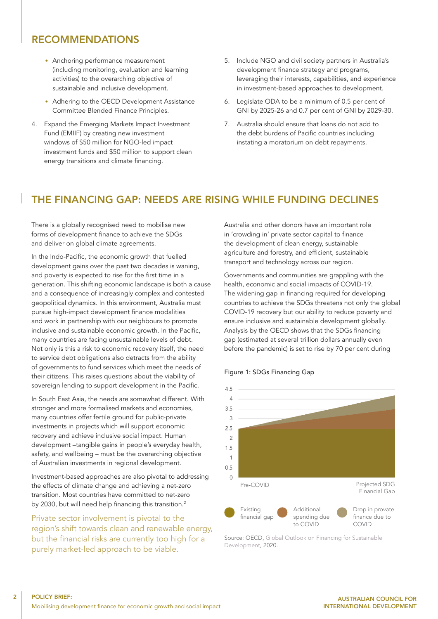#### RECOMMENDATIONS

- Anchoring performance measurement (including monitoring, evaluation and learning activities) to the overarching objective of sustainable and inclusive development.
- Adhering to the OECD Development Assistance Committee Blended Finance Principles.
- 4. Expand the Emerging Markets Impact Investment Fund (EMIIF) by creating new investment windows of \$50 million for NGO-led impact investment funds and \$50 million to support clean energy transitions and climate financing.
- 5. Include NGO and civil society partners in Australia's development finance strategy and programs, leveraging their interests, capabilities, and experience in investment-based approaches to development.
- 6. Legislate ODA to be a minimum of 0.5 per cent of GNI by 2025-26 and 0.7 per cent of GNI by 2029-30.
- 7. Australia should ensure that loans do not add to the debt burdens of Pacific countries including instating a moratorium on debt repayments.

#### THE FINANCING GAP: NEEDS ARE RISING WHILE FUNDING DECLINES

There is a globally recognised need to mobilise new forms of development finance to achieve the SDGs and deliver on global climate agreements.

In the Indo-Pacific, the economic growth that fuelled development gains over the past two decades is waning, and poverty is expected to rise for the first time in a generation. This shifting economic landscape is both a cause and a consequence of increasingly complex and contested geopolitical dynamics. In this environment, Australia must pursue high-impact development finance modalities and work in partnership with our neighbours to promote inclusive and sustainable economic growth. In the Pacific, many countries are facing unsustainable levels of debt. Not only is this a risk to economic recovery itself, the need to service debt obligations also detracts from the ability of governments to fund services which meet the needs of their citizens. This raises questions about the viability of sovereign lending to support development in the Pacific.

In South East Asia, the needs are somewhat different. With stronger and more formalised markets and economies, many countries offer fertile ground for public-private investments in projects which will support economic recovery and achieve inclusive social impact. Human development –tangible gains in people's everyday health, safety, and wellbeing – must be the overarching objective of Australian investments in regional development.

Investment-based approaches are also pivotal to addressing the effects of climate change and achieving a net-zero transition. Most countries have committed to net-zero by 2030, but will need help financing this transition.<sup>2</sup>

Private sector involvement is pivotal to the region's shift towards clean and renewable energy, but the financial risks are currently too high for a purely market-led approach to be viable.

Australia and other donors have an important role in 'crowding in' private sector capital to finance the development of clean energy, sustainable agriculture and forestry, and efficient, sustainable transport and technology across our region.

Governments and communities are grappling with the health, economic and social impacts of COVID-19. The widening gap in financing required for developing countries to achieve the SDGs threatens not only the global COVID-19 recovery but our ability to reduce poverty and ensure inclusive and sustainable development globally. Analysis by the OECD shows that the SDGs financing gap (estimated at several trillion dollars annually even before the pandemic) is set to rise by 70 per cent during



#### Figure 1: SDGs Financing Gap

Source: OECD, [Global Outlook on Financing for Sustainable]( https://www.oecd.org/development/global-outlook-on-financing-for-sustainable-development-2021-e3c30a9a-en.htm)  [Development,]( https://www.oecd.org/development/global-outlook-on-financing-for-sustainable-development-2021-e3c30a9a-en.htm) 2020.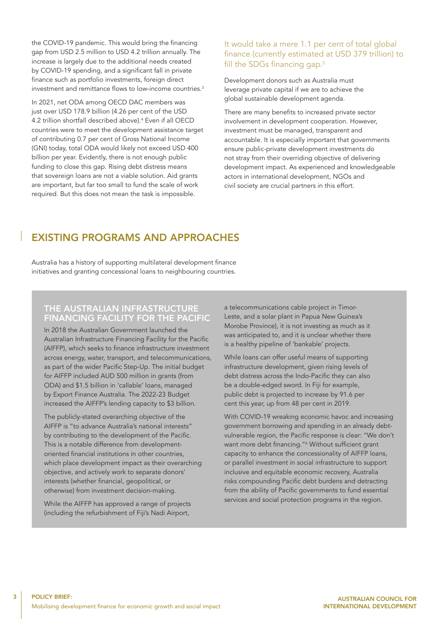the COVID-19 pandemic. This would bring the financing gap from USD 2.5 million to USD 4.2 trillion annually. The increase is largely due to the additional needs created by COVID-19 spending, and a significant fall in private finance such as portfolio investments, foreign direct investment and remittance flows to low-income countries.3

In 2021, net ODA among OECD DAC members was just over USD 178.9 billion (4.26 per cent of the USD 4.2 trillion shortfall described above).4 Even if all OECD countries were to meet the development assistance target of contributing 0.7 per cent of Gross National Income (GNI) today, total ODA would likely not exceed USD 400 billion per year. Evidently, there is not enough public funding to close this gap. Rising debt distress means that sovereign loans are not a viable solution. Aid grants are important, but far too small to fund the scale of work required. But this does not mean the task is impossible.

#### It would take a mere 1.1 per cent of total global finance (currently estimated at USD 379 trillion) to fill the SDGs financing gap.<sup>5</sup>

Development donors such as Australia must leverage private capital if we are to achieve the global sustainable development agenda.

There are many benefits to increased private sector involvement in development cooperation. However, investment must be managed, transparent and accountable. It is especially important that governments ensure public-private development investments do not stray from their overriding objective of delivering development impact. As experienced and knowledgeable actors in international development, NGOs and civil society are crucial partners in this effort.

# EXISTING PROGRAMS AND APPROACHES

Australia has a history of supporting multilateral development finance initiatives and granting concessional loans to neighbouring countries.

#### THE AUSTRALIAN INFRASTRUCTURE FINANCING FACILITY FOR THE PACIFIC

In 2018 the Australian Government launched the Australian Infrastructure Financing Facility for the Pacific (AIFFP), which seeks to finance infrastructure investment across energy, water, transport, and telecommunications, as part of the wider Pacific Step-Up. The initial budget for AIFFP included AUD 500 million in grants (from ODA) and \$1.5 billion in 'callable' loans, managed by Export Finance Australia. The 2022-23 Budget increased the AIFFP's lending capacity to \$3 billion.

The publicly-stated overarching objective of the AIFFP is "to advance Australia's national interests" by contributing to the development of the Pacific. This is a notable difference from developmentoriented financial institutions in other countries, which place development impact as their overarching objective, and actively work to separate donors' interests (whether financial, geopolitical, or otherwise) from investment decision-making.

While the AIFFP has approved a range of projects (including the refurbishment of Fiji's Nadi Airport,

a telecommunications cable project in Timor-Leste, and a solar plant in Papua New Guinea's Morobe Province), it is not investing as much as it was anticipated to, and it is unclear whether there is a healthy pipeline of 'bankable' projects.

While loans can offer useful means of supporting infrastructure development, given rising levels of debt distress across the Indo-Pacific they can also be a double-edged sword. In Fiji for example, public debt is projected to increase by 91.6 per cent this year, up from 48 per cent in 2019.

With COVID-19 wreaking economic havoc and increasing government borrowing and spending in an already debtvulnerable region, the Pacific response is clear: "We don't want more debt financing."<sup>6</sup> Without sufficient grant capacity to enhance the concessionality of AIFFP loans, or parallel investment in social infrastructure to support inclusive and equitable economic recovery, Australia risks compounding Pacific debt burdens and detracting from the ability of Pacific governments to fund essential services and social protection programs in the region.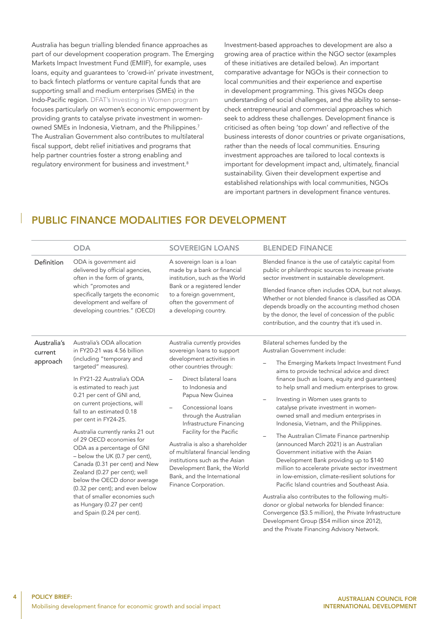Australia has begun trialling blended finance approaches as part of our development cooperation program. The Emerging Markets Impact Investment Fund (EMIIF), for example, uses loans, equity and guarantees to 'crowd-in' private investment, to back fintech platforms or venture capital funds that are supporting small and medium enterprises (SMEs) in the Indo-Pacific region. [DFAT's Investing in Women program](Investing in Women Initiative: Fact sheet | Australian Government Department of Foreign Affairs and Trade (dfat.gov.au)) focuses particularly on women's economic empowerment by providing grants to catalyse private investment in womenowned SMEs in Indonesia, Vietnam, and the Philippines.7 The Australian Government also contributes to multilateral fiscal support, debt relief initiatives and programs that help partner countries foster a strong enabling and regulatory environment for business and investment.<sup>8</sup>

Investment-based approaches to development are also a growing area of practice within the NGO sector (examples of these initiatives are detailed below). An important comparative advantage for NGOs is their connection to local communities and their experience and expertise in development programming. This gives NGOs deep understanding of social challenges, and the ability to sensecheck entrepreneurial and commercial approaches which seek to address these challenges. Development finance is criticised as often being 'top down' and reflective of the business interests of donor countries or private organisations, rather than the needs of local communities. Ensuring investment approaches are tailored to local contexts is important for development impact and, ultimately, financial sustainability. Given their development expertise and established relationships with local communities, NGOs are important partners in development finance ventures.

#### PUBLIC FINANCE MODALITIES FOR DEVELOPMENT

|                                    | <b>ODA</b>                                                                                                                                                                                                                                                                                                                                                                                                                                                                                                                                                                                                                                                       | <b>SOVEREIGN LOANS</b>                                                                                                                                                                                                                                                                                                                                                                                                                                                                                                    | <b>BLENDED FINANCE</b>                                                                                                                                                                                                                                                                                                                                                                                                                                                                                                                                                                                                                                                                                                                                                                                                                                                                                                                                                                                                                                 |
|------------------------------------|------------------------------------------------------------------------------------------------------------------------------------------------------------------------------------------------------------------------------------------------------------------------------------------------------------------------------------------------------------------------------------------------------------------------------------------------------------------------------------------------------------------------------------------------------------------------------------------------------------------------------------------------------------------|---------------------------------------------------------------------------------------------------------------------------------------------------------------------------------------------------------------------------------------------------------------------------------------------------------------------------------------------------------------------------------------------------------------------------------------------------------------------------------------------------------------------------|--------------------------------------------------------------------------------------------------------------------------------------------------------------------------------------------------------------------------------------------------------------------------------------------------------------------------------------------------------------------------------------------------------------------------------------------------------------------------------------------------------------------------------------------------------------------------------------------------------------------------------------------------------------------------------------------------------------------------------------------------------------------------------------------------------------------------------------------------------------------------------------------------------------------------------------------------------------------------------------------------------------------------------------------------------|
| Definition                         | ODA is government aid<br>delivered by official agencies,<br>often in the form of grants,<br>which "promotes and<br>specifically targets the economic<br>development and welfare of<br>developing countries." (OECD)                                                                                                                                                                                                                                                                                                                                                                                                                                              | A sovereign loan is a loan<br>made by a bank or financial<br>institution, such as the World<br>Bank or a registered lender<br>to a foreign government,<br>often the government of<br>a developing country.                                                                                                                                                                                                                                                                                                                | Blended finance is the use of catalytic capital from<br>public or philanthropic sources to increase private<br>sector investment in sustainable development.<br>Blended finance often includes ODA, but not always.<br>Whether or not blended finance is classified as ODA<br>depends broadly on the accounting method chosen<br>by the donor, the level of concession of the public<br>contribution, and the country that it's used in.                                                                                                                                                                                                                                                                                                                                                                                                                                                                                                                                                                                                               |
| Australia's<br>current<br>approach | Australia's ODA allocation<br>in FY20-21 was 4.56 billion<br>(including "temporary and<br>targeted" measures).<br>In FY21-22 Australia's ODA<br>is estimated to reach just<br>0.21 per cent of GNI and,<br>on current projections, will<br>fall to an estimated 0.18<br>per cent in FY24-25.<br>Australia currently ranks 21 out<br>of 29 OECD economies for<br>ODA as a percentage of GNI<br>- below the UK (0.7 per cent),<br>Canada (0.31 per cent) and New<br>Zealand (0.27 per cent); well<br>below the OECD donor average<br>(0.32 per cent); and even below<br>that of smaller economies such<br>as Hungary (0.27 per cent)<br>and Spain (0.24 per cent). | Australia currently provides<br>sovereign loans to support<br>development activities in<br>other countries through:<br>Direct bilateral loans<br>to Indonesia and<br>Papua New Guinea<br>Concessional loans<br>$\overline{\phantom{0}}$<br>through the Australian<br>Infrastructure Financing<br>Facility for the Pacific<br>Australia is also a shareholder<br>of multilateral financial lending<br>institutions such as the Asian<br>Development Bank, the World<br>Bank, and the International<br>Finance Corporation. | Bilateral schemes funded by the<br>Australian Government include:<br>The Emerging Markets Impact Investment Fund<br>$\overline{\phantom{0}}$<br>aims to provide technical advice and direct<br>finance (such as loans, equity and guarantees)<br>to help small and medium enterprises to grow.<br>Investing in Women uses grants to<br>-<br>catalyse private investment in women-<br>owned small and medium enterprises in<br>Indonesia, Vietnam, and the Philippines.<br>The Australian Climate Finance partnership<br>$\overline{\phantom{0}}$<br>(announced March 2021) is an Australian<br>Government initiative with the Asian<br>Development Bank providing up to \$140<br>million to accelerate private sector investment<br>in low-emission, climate-resilient solutions for<br>Pacific Island countries and Southeast Asia.<br>Australia also contributes to the following multi-<br>donor or global networks for blended finance:<br>Convergence (\$3.5 million), the Private Infrastructure<br>Development Group (\$54 million since 2012), |

4

and the Private Financing Advisory Network.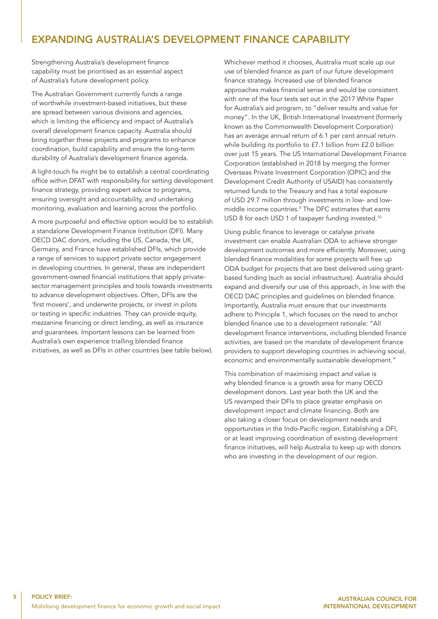## EXPANDING AUSTRALIA'S DEVELOPMENT FINANCE CAPABILITY

Strengthening Australia's development finance capability must be prioritised as an essential aspect of Australia's future development policy.

The Australian Government currently funds a range of worthwhile investment-based initiatives, but these are spread between various divisions and agencies, which is limiting the efficiency and impact of Australia's overall development finance capacity. Australia should bring together these projects and programs to enhance coordination, build capability and ensure the long-term durability of Australia's development finance agenda.

A light-touch fix might be to establish a central coordinating office within DFAT with responsibility for setting development finance strategy, providing expert advice to programs, ensuring oversight and accountability, and undertaking monitoring, evaluation and learning across the portfolio.

A more purposeful and effective option would be to establish a standalone Development Finance Institution (DFI). Many OECD DAC donors, including the US, Canada, the UK, Germany, and France have established DFIs, which provide a range of services to support private sector engagement in developing countries. In general, these are independent government-owned financial institutions that apply privatesector management principles and tools towards investments to advance development objectives. Often, DFIs are the 'first movers', and underwrite projects, or invest in pilots or testing in specific industries. They can provide equity, mezzanine financing or direct lending, as well as insurance and guarantees. Important lessons can be learned from Australia's own experience trialling blended finance initiatives, as well as DFIs in other countries (see table below). Whichever method it chooses, Australia must scale up our use of blended finance as part of our future development finance strategy. Increased use of blended finance approaches makes financial sense and would be consistent with one of the four tests set out in the 2017 White Paper for Australia's aid program, to "deliver results and value for money". In the UK, British International Investment (formerly known as the Commonwealth Development Corporation) has an average annual return of 6.1 per cent annual return while building its portfolio to £7.1 billion from £2.0 billion over just 15 years. The US International Development Finance Corporation (established in 2018 by merging the former Overseas Private Investment Corporation (OPIC) and the Development Credit Authority of USAID) has consistently returned funds to the Treasury and has a total exposure of USD 29.7 million through investments in low- and lowmiddle income countries.9 The DFC estimates that earns USD 8 for each USD 1 of taxpayer funding invested.<sup>10</sup>

Using public finance to leverage or catalyse private investment can enable Australian ODA to achieve stronger development outcomes and more efficiently. Moreover, using blended finance modalities for some projects will free up ODA budget for projects that are best delivered using grantbased funding (such as social infrastructure). Australia should expand and diversify our use of this approach, in line with the OECD DAC principles and guidelines on blended finance. Importantly, Australia must ensure that our investments adhere to Principle 1, which focuses on the need to anchor blended finance use to a development rationale: "All development finance interventions, including blended finance activities, are based on the mandate of development finance providers to support developing countries in achieving social, economic and environmentally sustainable development."

This combination of maximising impact *and* value is why blended finance is a growth area for many OECD development donors. Last year both the UK and the US revamped their DFIs to place greater emphasis on development impact and climate financing. Both are also taking a closer focus on development needs and opportunities in the Indo-Pacific region. Establishing a DFI, or at least improving coordination of existing development finance initiatives, will help Australia to keep up with donors who are investing in the development of our region.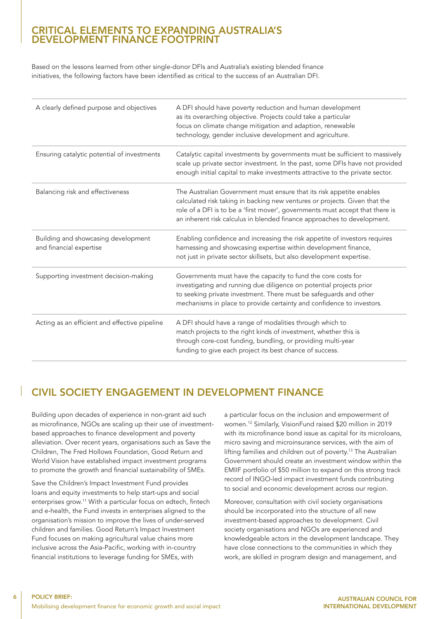#### CRITICAL ELEMENTS TO EXPANDING AUSTRALIA'S DEVELOPMENT FINANCE FOOTPRINT

Based on the lessons learned from other single-donor DFIs and Australia's existing blended finance initiatives, the following factors have been identified as critical to the success of an Australian DFI.

| A clearly defined purpose and objectives                       | A DFI should have poverty reduction and human development<br>as its overarching objective. Projects could take a particular<br>focus on climate change mitigation and adaption, renewable<br>technology, gender inclusive development and agriculture.                                                         |
|----------------------------------------------------------------|----------------------------------------------------------------------------------------------------------------------------------------------------------------------------------------------------------------------------------------------------------------------------------------------------------------|
| Ensuring catalytic potential of investments                    | Catalytic capital investments by governments must be sufficient to massively<br>scale up private sector investment. In the past, some DFIs have not provided<br>enough initial capital to make investments attractive to the private sector.                                                                   |
| Balancing risk and effectiveness                               | The Australian Government must ensure that its risk appetite enables<br>calculated risk taking in backing new ventures or projects. Given that the<br>role of a DFI is to be a 'first mover', governments must accept that there is<br>an inherent risk calculus in blended finance approaches to development. |
| Building and showcasing development<br>and financial expertise | Enabling confidence and increasing the risk appetite of investors requires<br>harnessing and showcasing expertise within development finance,<br>not just in private sector skillsets, but also development expertise.                                                                                         |
| Supporting investment decision-making                          | Governments must have the capacity to fund the core costs for<br>investigating and running due diligence on potential projects prior<br>to seeking private investment. There must be safeguards and other<br>mechanisms in place to provide certainty and confidence to investors.                             |
| Acting as an efficient and effective pipeline                  | A DFI should have a range of modalities through which to<br>match projects to the right kinds of investment, whether this is<br>through core-cost funding, bundling, or providing multi-year<br>funding to give each project its best chance of success.                                                       |

# CIVIL SOCIETY ENGAGEMENT IN DEVELOPMENT FINANCE

Building upon decades of experience in non-grant aid such as microfinance, NGOs are scaling up their use of investmentbased approaches to finance development and poverty alleviation. Over recent years, organisations such as Save the Children, The Fred Hollows Foundation, Good Return and World Vision have established impact investment programs to promote the growth and financial sustainability of SMEs.

Save the Children's Impact Investment Fund provides loans and equity investments to help start-ups and social enterprises grow.11 With a particular focus on edtech, fintech and e-health, the Fund invests in enterprises aligned to the organisation's mission to improve the lives of under-served children and families. Good Return's Impact Investment Fund focuses on making agricultural value chains more inclusive across the Asia-Pacific, working with in-country financial institutions to leverage funding for SMEs, with

a particular focus on the inclusion and empowerment of women.12 Similarly, VisionFund raised \$20 million in 2019 with its microfinance bond issue as capital for its microloans, micro saving and microinsurance services, with the aim of lifting families and children out of poverty.<sup>13</sup> The Australian Government should create an investment window within the EMIIF portfolio of \$50 million to expand on this strong track record of INGO-led impact investment funds contributing to social and economic development across our region.

Moreover, consultation with civil society organisations should be incorporated into the structure of all new investment-based approaches to development. Civil society organisations and NGOs are experienced and knowledgeable actors in the development landscape. They have close connections to the communities in which they work, are skilled in program design and management, and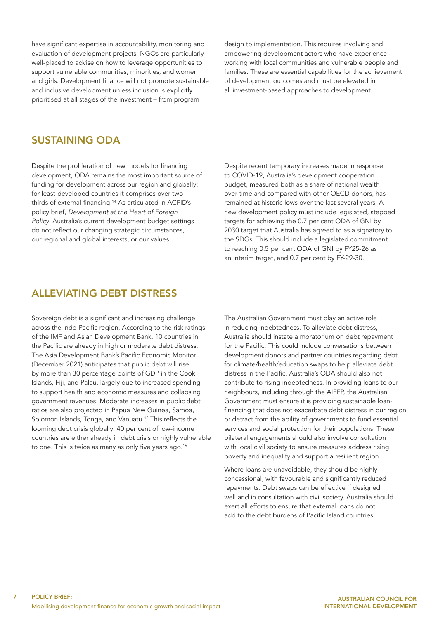have significant expertise in accountability, monitoring and evaluation of development projects. NGOs are particularly well-placed to advise on how to leverage opportunities to support vulnerable communities, minorities, and women and girls. Development finance will not promote sustainable and inclusive development unless inclusion is explicitly prioritised at all stages of the investment – from program

design to implementation. This requires involving and empowering development actors who have experience working with local communities and vulnerable people and families. These are essential capabilities for the achievement of development outcomes and must be elevated in all investment-based approaches to development.

#### SUSTAINING ODA

Despite the proliferation of new models for financing development, ODA remains the most important source of funding for development across our region and globally; for least-developed countries it comprises over twothirds of external financing.14 As articulated in ACFID's policy brief, *Development at the Heart of Foreign Policy*, Australia's current development budget settings do not reflect our changing strategic circumstances, our regional and global interests, or our values.

Despite recent temporary increases made in response to COVID-19, Australia's development cooperation budget, measured both as a share of national wealth over time and compared with other OECD donors, has remained at historic lows over the last several years. A new development policy must include legislated, stepped targets for achieving the 0.7 per cent ODA of GNI by 2030 target that Australia has agreed to as a signatory to the SDGs. This should include a legislated commitment to reaching 0.5 per cent ODA of GNI by FY25-26 as an interim target, and 0.7 per cent by FY-29-30.

#### ALLEVIATING DEBT DISTRESS

Sovereign debt is a significant and increasing challenge across the Indo-Pacific region. According to the risk ratings of the IMF and Asian Development Bank, 10 countries in the Pacific are already in high or moderate debt distress. The Asia Development Bank's Pacific Economic Monitor (December 2021) anticipates that public debt will rise by more than 30 percentage points of GDP in the Cook Islands, Fiji, and Palau, largely due to increased spending to support health and economic measures and collapsing government revenues. Moderate increases in public debt ratios are also projected in Papua New Guinea, Samoa, Solomon Islands, Tonga, and Vanuatu.<sup>15</sup> This reflects the looming debt crisis globally: 40 per cent of low-income countries are either already in debt crisis or highly vulnerable to one. This is twice as many as only five years ago.<sup>16</sup>

The Australian Government must play an active role in reducing indebtedness. To alleviate debt distress, Australia should instate a moratorium on debt repayment for the Pacific. This could include conversations between development donors and partner countries regarding debt for climate/health/education swaps to help alleviate debt distress in the Pacific. Australia's ODA should also not contribute to rising indebtedness. In providing loans to our neighbours, including through the AIFFP, the Australian Government must ensure it is providing sustainable loanfinancing that does not exacerbate debt distress in our region or detract from the ability of governments to fund essential services and social protection for their populations. These bilateral engagements should also involve consultation with local civil society to ensure measures address rising poverty and inequality and support a resilient region.

Where loans are unavoidable, they should be highly concessional, with favourable and significantly reduced repayments. Debt swaps can be effective if designed well and in consultation with civil society. Australia should exert all efforts to ensure that external loans do not add to the debt burdens of Pacific Island countries.